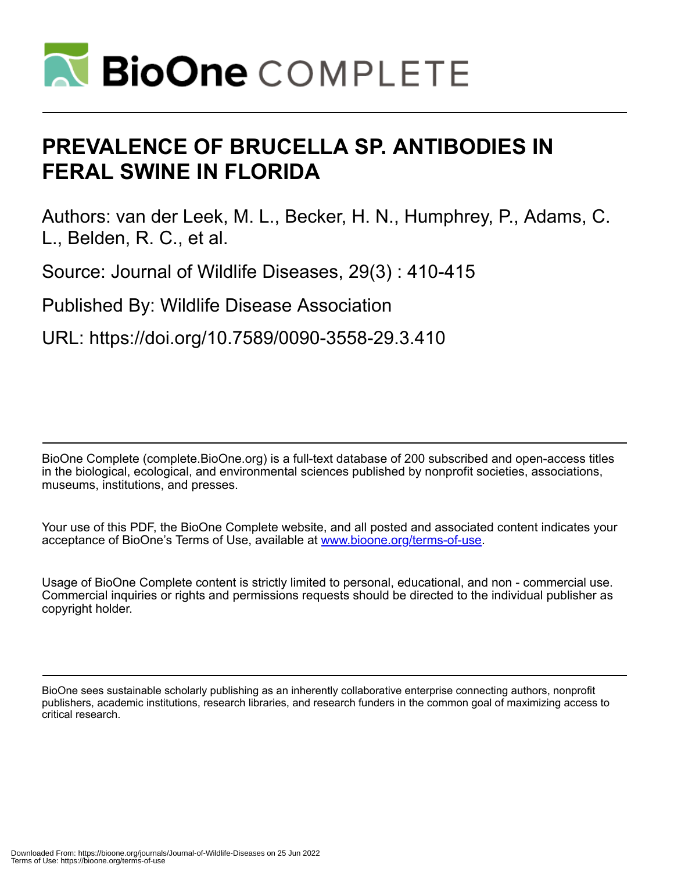

# **PREVALENCE OF BRUCELLA SP. ANTIBODIES IN FERAL SWINE IN FLORIDA**

Authors: van der Leek, M. L., Becker, H. N., Humphrey, P., Adams, C. L., Belden, R. C., et al.

Source: Journal of Wildlife Diseases, 29(3) : 410-415

Published By: Wildlife Disease Association

URL: https://doi.org/10.7589/0090-3558-29.3.410

BioOne Complete (complete.BioOne.org) is a full-text database of 200 subscribed and open-access titles in the biological, ecological, and environmental sciences published by nonprofit societies, associations, museums, institutions, and presses.

Your use of this PDF, the BioOne Complete website, and all posted and associated content indicates your acceptance of BioOne's Terms of Use, available at www.bioone.org/terms-of-use.

Usage of BioOne Complete content is strictly limited to personal, educational, and non - commercial use. Commercial inquiries or rights and permissions requests should be directed to the individual publisher as copyright holder.

BioOne sees sustainable scholarly publishing as an inherently collaborative enterprise connecting authors, nonprofit publishers, academic institutions, research libraries, and research funders in the common goal of maximizing access to critical research.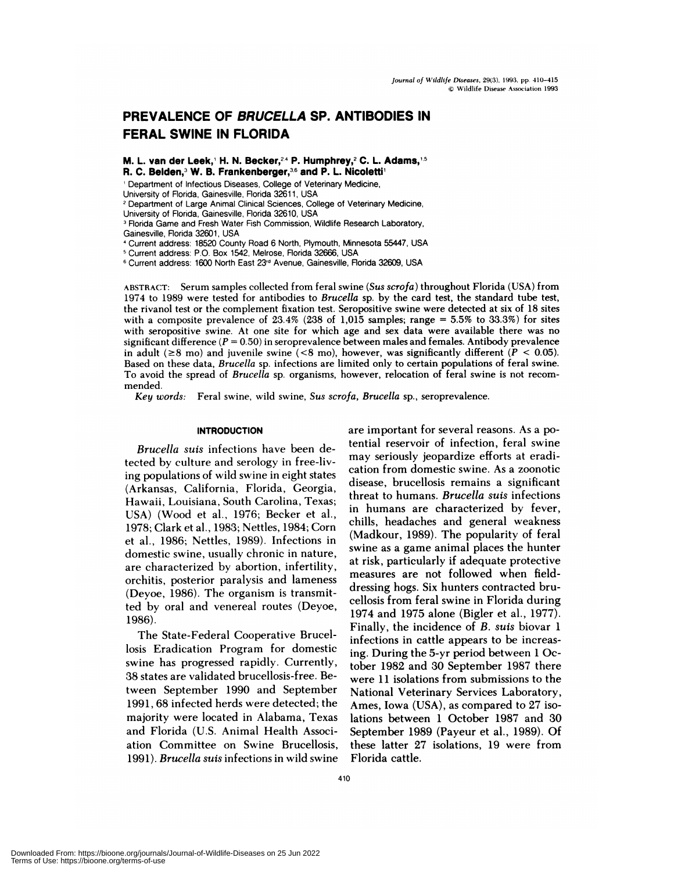# **PREVALENCE OF BRUCELLA SP.ANTIBODIES IN FERAL SWINE IN FLORIDA**

**M. L. van der Leek, H. N. Becker,24 P. Humphrey,2 C. L Adams,5 R. C. Belden,3 W. B. Frankenberger,36 and P. L. Nicoletti**

<sup>1</sup> Department of Infectious Diseases, College of Veterinary Medicine,

University of Florida, Gainesville, Florida 32611, USA

**<sup>2</sup>** Department of Large Animal Clinical Sciences, College of Veterinary Medicine,

University of Florida, Gainesville, Florida 32610, USA

<sup>3</sup> Florida Game and Fresh Water Fish Commission, Wildlife Research Laboratory,

Gainesville, Florida 32601, USA

Current address: 18520 County Road 6 North, Plymouth, Minnesota 55447, USA

Current address: P.O. Box 1542, Melrose, Florida 32666, USA

**<sup>6</sup>** Current address: 1600 North East 23" Avenue, Gainesville, Florida 32609, USA

**ABSTRACT:** Serum samples collected from feral swine *(Sus scrofa)* throughout Florida (USA) from 1974 to 1989 were tested for antibodies to *Brucella* sp. by the card test, the standard tube test, the rivanol test or the complement fixation test. Seropositive swine were detected at six of 18 sites with a composite prevalence of  $23.4\%$  ( $238$  of 1,015 samples; range = 5.5% to 33.3%) for sites with seropositive swine. At one site for which age and sex data were available there was no significant difference *(P* <sup>=</sup> 0.50) in seroprevalence between males and females. Antibody prevalence in adult ( $\geq$ 8 mo) and juvenile swine (<8 mo), however, was significantly different ( $P < 0.05$ ). Based on these data, *Brucella* sp. infections are limited only to certain populations of feral swine. To avoid the spread of *Brucella* sp. organisms, however, relocation of feral swine is not recom mended.

*Key words:* Feral swine, wild swine, *Sus scrofa, Brucella* sp., seroprevalence.

#### **INTRODUCTION**

*Brucella suis* infections have been detected by culture and serology in free-living populations of wild swine in eight states (Arkansas, California, Florida, Georgia, Hawaii, Louisiana, South Carolina, Texas; USA) (Wood et al., 1976; Becker et al., 1978; Clark et al., 1983; Nettles, 1984; Corn et a!., 1986; Nettles, 1989). Infections in domestic swine, usually chronic in nature, are characterized by abortion, infertility, orchitis, posterior paralysis and lameness (Deyoe, 1986). The organism is transmitted by oral and venereal routes (Deyoe, 1986).

The State-Federal Cooperative Bruce! losis Eradication Program for domestic swine has progressed rapidly. Currently, 38 states are validated brucellosis-free. Between September 1990 and September 1991, 68 infected herds were detected; the majority were located in Alabama, Texas and Florida (U.S. Animal Health Association Committee on Swine Brucellosis, 1991). *Brucella suis* infections in wild swine are important for several reasons. As a potential reservoir of infection, feral swine may seriously jeopardize efforts at eradication from domestic swine. As a zoonotic disease, brucellosis remains a significant threat to humans. *Brucella suis* infections in humans are characterized by fever, chills, headaches and genera! weakness (Madkour, 1989). The popularity of feral swine as a game animal places the hunter at risk, particularly if adequate protective measures are not followed when fielddressing hogs. Six hunters contracted brucellosis from feral swine in Florida during 1974 and 1975 alone (Bigler et a!., 1977). Finally, the incidence of *B. suis* biovar 1 infections in cattle appears to be increasing. During the 5-yr period between 1 October 1982 and 30 September 1987 there were 11 isolations from submissions to the National Veterinary Services Laboratory, Ames, Iowa (USA), as compared to 27 isolations between 1 October 1987 and 30 September 1989 (Payeur et al., 1989). Of these latter 27 isolations, 19 were from Florida cattle.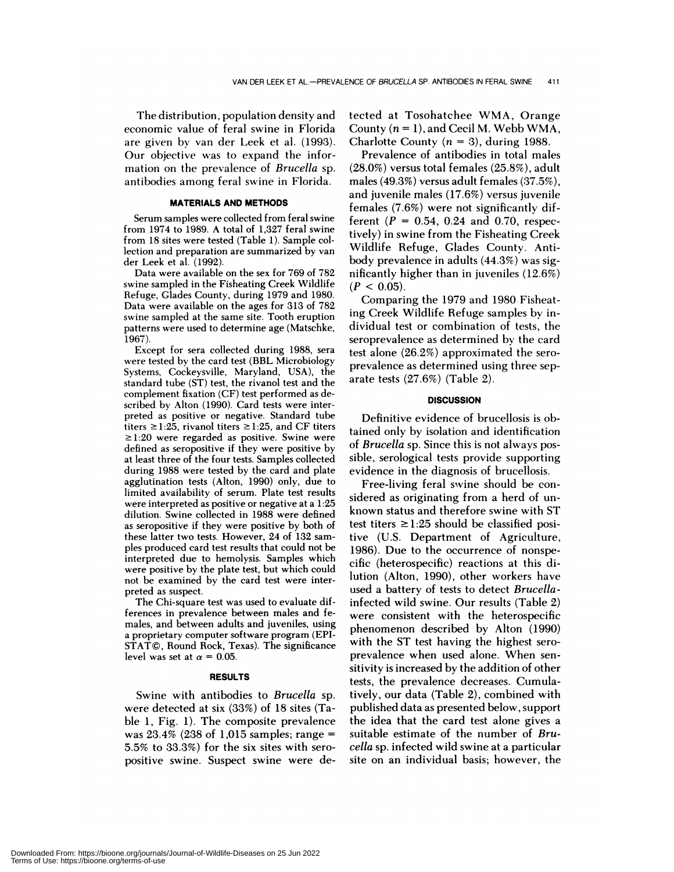The distribution, population density and economic value of feral swine in Florida are given by van der Leek et al. (1993). Our objective was to expand the information on the prevalence of *Brucella* sp. antibodies among feral swine in Florida.

### **MATERIALS AND METHODS**

Serum samples were collected from feral swine from 1974 to 1989. A total of 1,327 feral swine from 18 sites were tested (Table 1). Sample collection and preparation are summarized by van der Leek et al. (1992).

Data were available on the sex for 769 of 782 swine sampled in the Fisheating Creek Wildlife Refuge, Glades County, during 1979 and 1980. Data were available on the ages for 313 of 782 swine sampled at the same site. Tooth eruption patterns were used to determine age (Matschke, 1967).

Except for sera collected during 1988, sera were tested by the card test (BBL Microbiology Systems, Cockeysville, Maryland, USA), the standard tube (ST) test, the rivanol test and the complement fixation (CF) test performed as described by Alton (1990). Card tests were interpreted as positive or negative. Standard tube titers  $\geq 1:25$ , rivanol titers  $\geq 1:25$ , and CF titers  $\ge$ 1:20 were regarded as positive. Swine were defined as seropositive if they were positive by at least three of the four tests. Samples collected during 1988 were tested by the card and plate agglutination tests (Alton, 1990) only, due to limited availability of serum. Plate test results were interpreted as positive or negative at a 1:25 dilution. Swine collected in 1988 were defined as seropositive if they were positive by both of these latter two tests. However, 24 of 132 sam ples produced card test results that could not be interpreted due to hemolysis. Samples which were positive by the plate test, but which could not be examined by the card test were interpreted as suspect.

The Chi-square test was used to evaluate differences in prevalence between males and females, and between adults and juveniles, using a proprietary computer software program (EPI-STAT©, Round Rock, Texas). The significance level was set at  $\alpha = 0.05$ .

#### **RESULTS**

Swine with antibodies to *Brucella* sp. were detected at six (33%) of 18 sites (Table 1, Fig. 1). The composite prevalence was 23.4% (238 of 1,015 samples; range  $=$ 5.5% to 33.3%) for the six sites with sero positive swine. Suspect swine were detected at Tosohatchee WMA, Orange County  $(n = 1)$ , and Cecil M. Webb WMA, Charlotte County  $(n = 3)$ , during 1988.

Prevalence of antibodies in total males (28.0%) versus total females (25.8%), adult males (49.3%) versus adult females (37.5%), and juvenile males (17.6%) versus juvenile females (7.6%) were not significantly different  $(P = 0.54, 0.24, 0.70,$  respectively) in swine from the Fisheating Creek Wildlife Refuge, Glades County. Antibody prevalence in adults (44.3%) was significantly higher than in juveniles (12.6%)  $(P < 0.05)$ .

Comparing the 1979 and 1980 Fisheating Creek Wildlife Refuge samples by individual test or combination of tests, the seroprevalence as determined by the card test alone (26.2%) approximated the sero prevalence as determined using three separate tests (27.6%) (Table 2).

## **DISCUSSION**

Definitive evidence of brucellosis is obtained only by isolation and identification of *Brucella* sp. Since this is not always possible, serological tests provide supporting evidence in the diagnosis of brucellosis.

Free-living feral swine should be con sidered as originating from a herd of un known status and therefore swine with ST test titers  $\geq$ 1:25 should be classified positive (U.S. Department of Agriculture, 1986). Due to the occurrence of nonspecific (heterospecific) reactions at this dilution (Alton, 1990), other workers have used a battery of tests to detect *Brucella*infected wild swine. Our results (Table 2) were consistent with the heterospecific phenomenon described by Alton (1990) with the ST test having the highest sero prevalence when used alone. When sen sitivity is increased by the addition of other tests, the prevalence decreases. Cumulatively, our data (Table 2), combined with published data as presented below, support the idea that the card test alone gives a suitable estimate of the number of *Brucelia* sp. infected wild swine at a particular site on an individual basis; however, the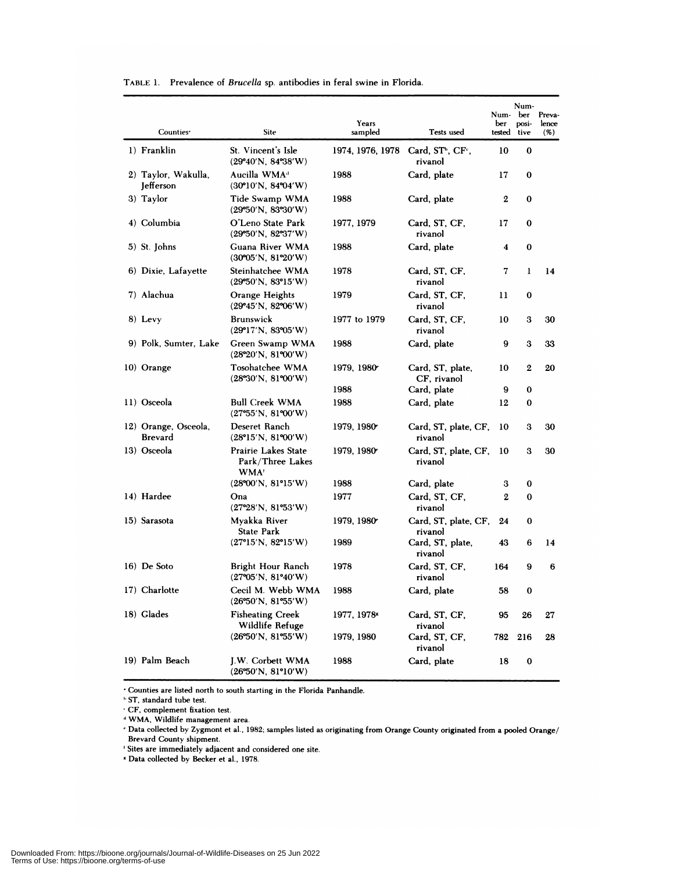| Counties <sup>*</sup>            | <b>Site</b>                                                                    | Years<br>sampled | Tests used                                           | Num-ber<br>ber<br>tested tive | Num-<br>posi- | Preva-<br>lence<br>$($ %) |
|----------------------------------|--------------------------------------------------------------------------------|------------------|------------------------------------------------------|-------------------------------|---------------|---------------------------|
|                                  |                                                                                |                  |                                                      |                               |               |                           |
| 1) Franklin                      | St. Vincent's Isle<br>$(29^{\circ}40' N, 84^{\circ}38' W)$                     | 1974, 1976, 1978 | Card, ST <sup>b</sup> , CF <sup>c</sup> ,<br>rivanol | 10                            | 0             |                           |
| 2) Taylor, Wakulla,<br>Jefferson | Aucilla WMA <sup>a</sup><br>$(30^{\circ}10^{\prime}N, 84^{\circ}04^{\prime}W)$ | 1988             | Card, plate                                          | 17                            | 0             |                           |
| 3) Taylor                        | Tide Swamp WMA<br>(29°50' N, 83°30' W)                                         | 1988             | Card, plate                                          | 2                             | 0             |                           |
| 4) Columbia                      | O'Leno State Park<br>(29°50'N, 82°37'W)                                        | 1977, 1979       | Card, ST, CF,<br>rivanol                             | 17                            | $\bf{0}$      |                           |
| 5) St. Johns                     | Guana River WMA<br>$(30^{\circ}05'N, 81^{\circ}20'W)$                          | 1988             | Card, plate                                          | 4                             | $\bf{0}$      |                           |
| 6) Dixie, Lafayette              | Steinhatchee WMA<br>(29°50'N, 83°15'W)                                         | 1978             | Card, ST, CF,<br>rivanol                             | 7                             | 1             | 14                        |
| 7) Alachua                       | Orange Heights<br>$(29^{\circ}45' N, 82^{\circ}06' W)$                         | 1979             | Card, ST, CF,<br>rivanol                             | 11                            | 0             |                           |
| 8) Levy                          | <b>Brunswick</b><br>$(29^{\circ}17'N, 83^{\circ}05'W)$                         | 1977 to 1979     | Card, ST, CF,<br>rivanol                             | 10                            | 3             | 30                        |
| 9) Polk, Sumter, Lake            | Green Swamp WMA<br>(28°20'N, 81°00'W)                                          | 1988             | Card, plate                                          | 9                             | 3             | 33                        |
| 10) Orange                       | Tosohatchee WMA<br>(28°30'N, 81°00'W)                                          | 1979, 1980       | Card, ST, plate,<br>CF, rivanol                      | 10                            | 2             | 20                        |
|                                  |                                                                                | 1988             | Card, plate                                          | 9                             | 0             |                           |
| 11) Osceola                      | <b>Bull Creek WMA</b><br>(27°55'N, 81°00'W)                                    | 1988             | Card, plate                                          | 12                            | 0             |                           |
| 12) Orange, Osceola,<br>Brevard  | Deseret Ranch<br>(28°15'N, 81°00'W)                                            | 1979, 1980       | Card, ST, plate, CF,<br>rivanol                      | 10                            | з             | 30                        |
| 13) Osceola                      | <b>Prairie Lakes State</b><br>Park/Three Lakes<br>WMA <sup>1</sup>             | 1979, 1980       | Card, ST, plate, CF,<br>rivanol                      | 10                            | з             | 30                        |
|                                  | (28°00'N, 81°15'W)                                                             | 1988             | Card, plate                                          | 3                             | 0             |                           |
| 14) Hardee                       | Ona<br>(27°28'N, 81°53'W)                                                      | 1977             | Card, ST, CF,<br>rivanol                             | 2                             | 0             |                           |
| 15) Sarasota                     | Myakka River<br>State Park                                                     | 1979, 1980       | Card, ST, plate, CF,<br>rivanol                      | 24                            | 0             |                           |
|                                  | $(27^{\circ}15'N, 82^{\circ}15'W)$                                             | 1989             | Card, ST, plate,<br>rivanol                          | 43                            | 6             | 14                        |
| 16) De Soto                      | Bright Hour Ranch<br>$(27^{\circ}05'N, 81^{\circ}40'W)$                        | 1978             | Card, ST, CF,<br>rivanol                             | 164                           | 9             | 6                         |
| 17) Charlotte                    | Cecil M. Webb WMA<br>(26°50'N, 81°55'W)                                        | 1988             | Card, plate                                          | 58                            | 0             |                           |
| 18) Glades                       | <b>Fisheating Creek</b><br>Wildlife Refuge                                     | 1977, 1978-      | Card, ST, CF,<br>rivanol                             | 95                            | 26            | 27                        |
|                                  | (26°50'N, 81°55'W)                                                             | 1979, 1980       | Card, ST, CF,<br>rivanol                             | 782                           | 216           | 28                        |
| 19) Palm Beach                   | J.W. Corbett WMA<br>(26°50'N, 81°10'W)                                         | 1988             | Card, plate                                          | 18                            | 0             |                           |

**TABLE 1.** Prevalence of *Brucella* sp. antibodies in feral swine in Florida.

'Counties are listed north to south starting in the Florida Panhandle.

**ST**, standard tube test.

CF. complement fixation test.

WMA, Wildlife management area.

'Data collected by zygmont et al., 1982; samples listed as originating from Orange County originated from a pooled Orange! Brevard County shipment.

Sites are immediately adjacent and considered one site.

**Data** collected by Becker **etal., 1978.**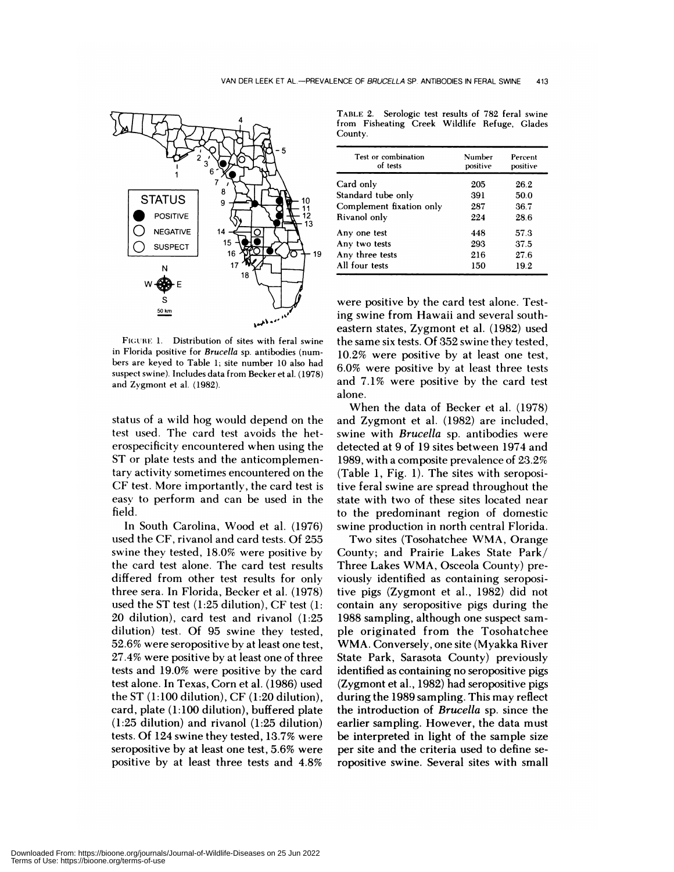

FIGURE 1. Distribution of sites with feral swine in Florida positive for *Brucella* sp. antibodies (num bers are keyed to Table 1; site number 10 also had suspect swine). Includes data from Becker et al. (1978) and Zygmont et al. (1982).

status of a wild hog would depend on the test used. The card test avoids the heterospecificity encountered when using the ST or plate tests and the anticomplementany activity sometimes encountered on the CF test. More importantly, the card test is easy to perform and can be used in the field.

In South Carolina, Wood et al. (1976) used the CF, rivanol and card tests. Of 255 swine they tested, 18.0% were positive by the card test alone. The card test results differed from other test results for only three sera. In Florida, Becker et a!. (1978) used the ST test (1:25 dilution), CF test (1:  $20$  dilution), card test and rivanol (1:25 dilution) test. Of 95 swine they tested, 52.6% were seropositive by at least one test, 27.4% were positive by at least one of three tests and 19.0% were positive by the card test alone. In Texas, Corn et a!. (1986) used the ST (1:100 dilution), CF (1:20 dilution), card, plate (1:100 dilution), buffered plate  $(1:25$  dilution) and rivanol  $(1:25$  dilution) tests. Of 124 swine they tested, 13.7% were seropositive by at least one test, 5.6% were positive by at least three tests and 4.8%

TABLE 2. Serologic test results of 782 feral swine from Fisheating Creek Wildlife Refuge, Glades County.

| Test or combination<br>of tests | Number<br>positive | Percent<br>positive |
|---------------------------------|--------------------|---------------------|
| Card only                       | 205                | 26.2                |
| Standard tube only              | 391                | 50.0                |
| Complement fixation only        | 287                | 36.7                |
| Rivanol only                    | 224                | 28.6                |
| Any one test                    | 448                | 57.3                |
| Any two tests                   | 293                | 37.5                |
| Any three tests                 | 216                | 27.6                |
| All four tests                  | 150                | 19.2                |

were positive by the card test alone. Testing swine from Hawaii and several southeastern states, Zygmont et al. (1982) used the same six tests. Of 352 swine they tested, 10.2% were positive by at least one test, 6.0% were positive by at least three tests and 7.1% were positive by the card test alone.

When the data of Becker et al. (1978) and Zygmont et al. (1982) are included, swine with *Brucella* sp. antibodies were detected at 9 of 19 sites between 1974 and 1989, with a composite prevalence of 23.2% (Table 1, Fig. 1). The sites with seropositive feral swine are spread throughout the state with two of these sites located near to the predominant region of domestic swine production in north central Florida.

Two sites (Tosohatchee WMA, Orange County; and Prairie Lakes State Park/ Three Lakes WMA, Osceola County) previously identified as containing seropositive pigs (Zygmont et a!., 1982) did not contain any seropositive pigs during the 1988 sampling, although one suspect sam ple originated from the Tosohatchee WMA. Conversely, one site (Myakka River State Park, Sarasota County) previously identified as containing no seropositive pigs (Zygmont et a!., 1982) had seropositive pigs during the 1989 sampling. This may reflect the introduction of *Brucella* sp. since the earlier sampling. However, the data must be interpreted in light of the sample size per site and the criteria used to define seropositive swine. Several sites with small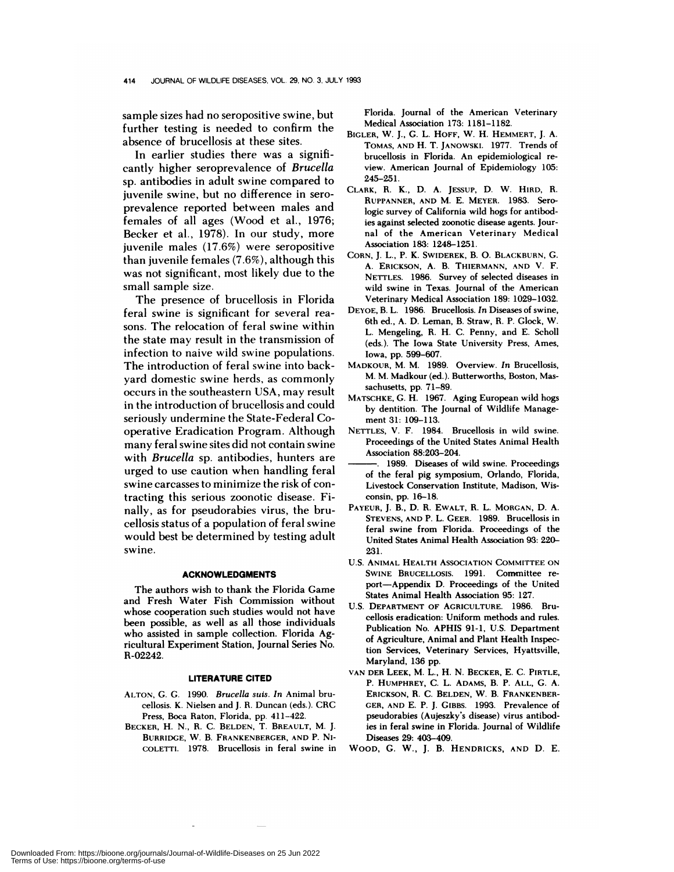sample sizes had no seropositive swine, but further testing is needed to confirm the absence of brucellosis at these sites.

In earlier studies there was a significantly higher seroprevalence of *Brucella* sp. antibodies in adult swine compared to juvenile swine, but no difference in sero prevalence reported between males and females of all ages (Wood et al., 1976; Becker et al., 1978). In our study, more juvenile males (17.6%) were seropositive than juvenile females (7.6%), although this was not significant, most likely due to the small sample size.

The presence of brucellosis in Florida feral swine is significant for several rea sons. The relocation of feral swine within the state may result in the transmission of infection to naive wild swine populations. The introduction of feral swine into backyard domestic swine herds, as commonly occurs in the southeastern USA, may result in the introduction of brucellosis and could seriously undermine the State-Federal Cooperative Eradication Program. Although many feral swine sites did not contain swine with *Bruceila* sp. antibodies, hunters are urged to use caution when handling feral swine carcasses to minimize the risk of contracting this serious zoonotic disease. Finally, as for pseudorabies virus, the brucel!osis status of a population of feral swine would best be determined by testing adult swine.

#### **ACKNOWLEDGMENTS**

The authors wish to thank the Florida Game and Fresh Water Fish Commission without whose cooperation such studies would not have been possible, as well as all those individuals who assisted in sample collection. Florida Agricultural Experiment Station, Journal Series No. R-02242.

#### **LITERATURE CITED**

- ALTON, G. G. 1990. *Brucella suis. In* **Animal bru** cellosis. K. Nielsen and J. R. Duncan (eds.). CRC Press, Boca Raton, Florida, pp. 411-422.
- **BECKER,** H. N., R. C. BELDEN, T. BREAULT, M. J. BURRIDGE, W. B. **FRANKENBERGER, AND** P. NI- COLETTI. 1978. Brucellosis in feral swine in

Florida. Journal of the American Veterinary Medical Association 173: 1181-1182.

- **BIGLER,** W. J., G. L. **HOFF, W.** H. **HEMMERT,** J. A. **TOMAS, AND** H. T. **JAN0w5KI.** 1977. Trends of brucellosis in Florida. An epidemiological re view. American Journal of Epidemiology 105: 245-251.
- **CLARK,** R. K., D. A. **JESSUP,** D. W. **HIRD,** R. **RUPPANNER, AND** M.E. **MEYER.** 1983. Serologic survey of California wild hogs for antibodies against selected zoonotic disease agents. Jour nal of the American Veterinary Medical Association 183: 1248-1251.
- **CORN,** J. L., P. K. **SWIDEREK,** B. 0. **BLACKBURN,** G. A. ERICKSON, A. B. **THIERMANN, AND V.** F. NETTLES. 1986. Survey of selected diseases in wild swine in Texas. Journal of the American Veterinary Medical Association 189: 1029-1032.
- **DEYOE,** B. L. 1986. Brucellosis. *In* Diseases of swine, 6th ed., A. D. Leman, B. Straw, R. P. Glock, W. L. Mengeling, R. H. C. Penny, and E. Scholl (eds.). The Iowa State University Press, Ames, Iowa, pp. 599-607.
- **MADKOUR,** M. M. 1989. Overview. *In* Brucellosis, M. M. Madkour (ed.). Butterworths, Boston, Massachusetts, pp. 71-89.
- **MATSCHKE,** G. H. 1967. Aging European wild hogs by dentition. The Journal of Wildlife Manage ment 31: 109-113.
- NETTLES, V. F. 1984. Brucellosis in wild **swine.** Proceedings of the United States Animal Health Association 88:203-204.
- 1989. Diseases of wild swine. Proceedings of the feral pig symposium, Orlando, Florida, Livestock Conservation Institute, Madison, Wisconsin, pp. 16-18.
- **PAYEUR,** J. B., D. R. **EWALT,** R. L. **MORGAN,** D. A. **STEVENS, AND** P. L. **GEER.** 1989. Brucellosis in feral swine from Florida. Proceedings of the United States Animal Health Association 93: 220- 231.
- U.S. **ANIMAL HEALTH ASSOCIATION COMMITTEE ON** SWINE BRucELLosis. 1991. Committee re port-Appendix D. Proceedings of the United States Animal Health Association 95: 127.
- U.S. **DEPARTMENT OF AGRICULTURE.** 1986. Brucellosis eradication: Uniform methods and rules. Publication No. APHIS 91-1, U.S. Department of Agriculture, Animal and Plant Health Inspection Services, Veterinary Services, Hyattsville, Maryland, 136 pp.
- **VAN DER LEEK,** M. L., H. N. **BECKER,** E. C. **PIRTLE,** P. **HUMPHREY,** C. L. **ADAMS,** B. P. **ALL,** G. A. ERICKSON, R. C. **BELDEN, W.** B. **FRANKENBER- GER, AND** E. P. J. **GIBBS.** 1993. Prevalence of pseudorabies (Aujeszky's disease) virus antibodies in feral swine in Florida. Journal of Wildlife Diseases 29: 403-409.
- WooD, G. W., J. B. **HENDRICKS, AND** D. E.